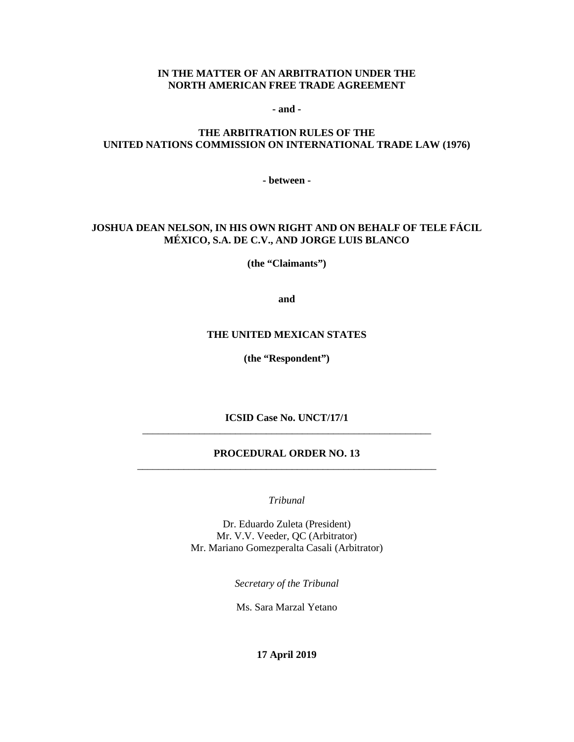#### **IN THE MATTER OF AN ARBITRATION UNDER THE NORTH AMERICAN FREE TRADE AGREEMENT**

**- and -**

# **THE ARBITRATION RULES OF THE UNITED NATIONS COMMISSION ON INTERNATIONAL TRADE LAW (1976)**

**- between -**

# **JOSHUA DEAN NELSON, IN HIS OWN RIGHT AND ON BEHALF OF TELE FÁCIL MÉXICO, S.A. DE C.V., AND JORGE LUIS BLANCO**

**(the "Claimants")**

**and**

#### **THE UNITED MEXICAN STATES**

**(the "Respondent")**

**ICSID Case No. UNCT/17/1** \_\_\_\_\_\_\_\_\_\_\_\_\_\_\_\_\_\_\_\_\_\_\_\_\_\_\_\_\_\_\_\_\_\_\_\_\_\_\_\_\_\_\_\_\_\_\_\_\_\_\_\_\_\_\_\_

### **PROCEDURAL ORDER NO. 13** \_\_\_\_\_\_\_\_\_\_\_\_\_\_\_\_\_\_\_\_\_\_\_\_\_\_\_\_\_\_\_\_\_\_\_\_\_\_\_\_\_\_\_\_\_\_\_\_\_\_\_\_\_\_\_\_\_\_

*Tribunal*

Dr. Eduardo Zuleta (President) Mr. V.V. Veeder, QC (Arbitrator) Mr. Mariano Gomezperalta Casali (Arbitrator)

*Secretary of the Tribunal*

Ms. Sara Marzal Yetano

**17 April 2019**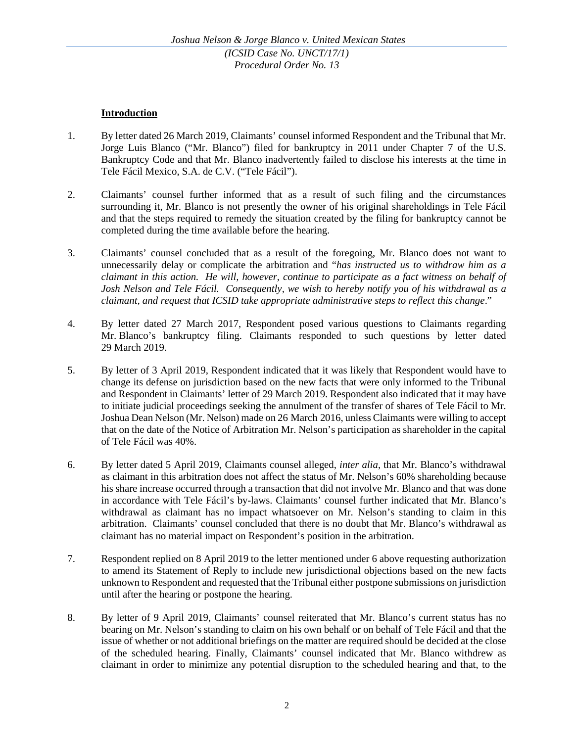# **Introduction**

- 1. By letter dated 26 March 2019, Claimants' counsel informed Respondent and the Tribunal that Mr. Jorge Luis Blanco ("Mr. Blanco") filed for bankruptcy in 2011 under Chapter 7 of the U.S. Bankruptcy Code and that Mr. Blanco inadvertently failed to disclose his interests at the time in Tele Fácil Mexico, S.A. de C.V. ("Tele Fácil").
- 2. Claimants' counsel further informed that as a result of such filing and the circumstances surrounding it, Mr. Blanco is not presently the owner of his original shareholdings in Tele Fácil and that the steps required to remedy the situation created by the filing for bankruptcy cannot be completed during the time available before the hearing.
- 3. Claimants' counsel concluded that as a result of the foregoing, Mr. Blanco does not want to unnecessarily delay or complicate the arbitration and "*has instructed us to withdraw him as a claimant in this action. He will, however, continue to participate as a fact witness on behalf of Josh Nelson and Tele Fácil. Consequently, we wish to hereby notify you of his withdrawal as a claimant, and request that ICSID take appropriate administrative steps to reflect this change*."
- 4. By letter dated 27 March 2017, Respondent posed various questions to Claimants regarding Mr. Blanco's bankruptcy filing. Claimants responded to such questions by letter dated 29 March 2019.
- 5. By letter of 3 April 2019, Respondent indicated that it was likely that Respondent would have to change its defense on jurisdiction based on the new facts that were only informed to the Tribunal and Respondent in Claimants' letter of 29 March 2019. Respondent also indicated that it may have to initiate judicial proceedings seeking the annulment of the transfer of shares of Tele Fácil to Mr. Joshua Dean Nelson (Mr. Nelson) made on 26 March 2016, unless Claimants were willing to accept that on the date of the Notice of Arbitration Mr. Nelson's participation as shareholder in the capital of Tele Fácil was 40%.
- 6. By letter dated 5 April 2019, Claimants counsel alleged, *inter alia*, that Mr. Blanco's withdrawal as claimant in this arbitration does not affect the status of Mr. Nelson's 60% shareholding because his share increase occurred through a transaction that did not involve Mr. Blanco and that was done in accordance with Tele Fácil's by-laws. Claimants' counsel further indicated that Mr. Blanco's withdrawal as claimant has no impact whatsoever on Mr. Nelson's standing to claim in this arbitration. Claimants' counsel concluded that there is no doubt that Mr. Blanco's withdrawal as claimant has no material impact on Respondent's position in the arbitration.
- 7. Respondent replied on 8 April 2019 to the letter mentioned under 6 above requesting authorization to amend its Statement of Reply to include new jurisdictional objections based on the new facts unknown to Respondent and requested that the Tribunal either postpone submissions on jurisdiction until after the hearing or postpone the hearing.
- 8. By letter of 9 April 2019, Claimants' counsel reiterated that Mr. Blanco's current status has no bearing on Mr. Nelson's standing to claim on his own behalf or on behalf of Tele Fácil and that the issue of whether or not additional briefings on the matter are required should be decided at the close of the scheduled hearing. Finally, Claimants' counsel indicated that Mr. Blanco withdrew as claimant in order to minimize any potential disruption to the scheduled hearing and that, to the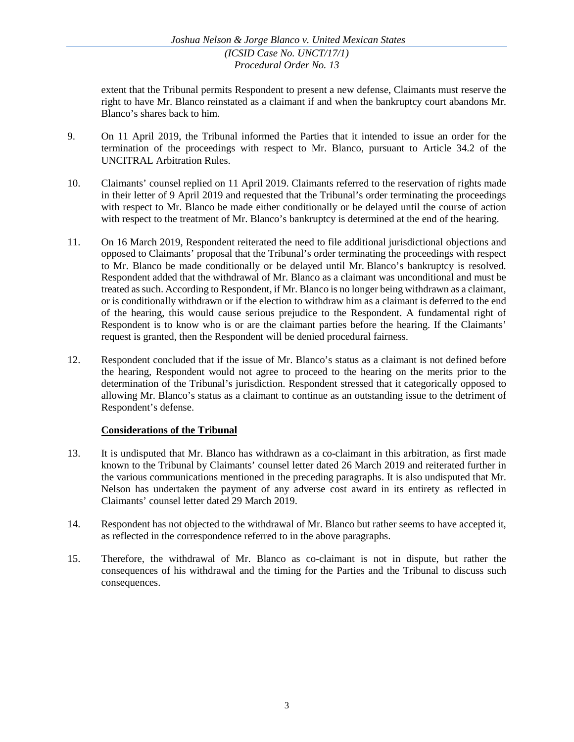extent that the Tribunal permits Respondent to present a new defense, Claimants must reserve the right to have Mr. Blanco reinstated as a claimant if and when the bankruptcy court abandons Mr. Blanco's shares back to him.

- 9. On 11 April 2019, the Tribunal informed the Parties that it intended to issue an order for the termination of the proceedings with respect to Mr. Blanco, pursuant to Article 34.2 of the UNCITRAL Arbitration Rules.
- 10. Claimants' counsel replied on 11 April 2019. Claimants referred to the reservation of rights made in their letter of 9 April 2019 and requested that the Tribunal's order terminating the proceedings with respect to Mr. Blanco be made either conditionally or be delayed until the course of action with respect to the treatment of Mr. Blanco's bankruptcy is determined at the end of the hearing.
- 11. On 16 March 2019, Respondent reiterated the need to file additional jurisdictional objections and opposed to Claimants' proposal that the Tribunal's order terminating the proceedings with respect to Mr. Blanco be made conditionally or be delayed until Mr. Blanco's bankruptcy is resolved. Respondent added that the withdrawal of Mr. Blanco as a claimant was unconditional and must be treated as such. According to Respondent, if Mr. Blanco is no longer being withdrawn as a claimant, or is conditionally withdrawn or if the election to withdraw him as a claimant is deferred to the end of the hearing, this would cause serious prejudice to the Respondent. A fundamental right of Respondent is to know who is or are the claimant parties before the hearing. If the Claimants' request is granted, then the Respondent will be denied procedural fairness.
- 12. Respondent concluded that if the issue of Mr. Blanco's status as a claimant is not defined before the hearing, Respondent would not agree to proceed to the hearing on the merits prior to the determination of the Tribunal's jurisdiction. Respondent stressed that it categorically opposed to allowing Mr. Blanco's status as a claimant to continue as an outstanding issue to the detriment of Respondent's defense.

# **Considerations of the Tribunal**

- 13. It is undisputed that Mr. Blanco has withdrawn as a co-claimant in this arbitration, as first made known to the Tribunal by Claimants' counsel letter dated 26 March 2019 and reiterated further in the various communications mentioned in the preceding paragraphs. It is also undisputed that Mr. Nelson has undertaken the payment of any adverse cost award in its entirety as reflected in Claimants' counsel letter dated 29 March 2019.
- 14. Respondent has not objected to the withdrawal of Mr. Blanco but rather seems to have accepted it, as reflected in the correspondence referred to in the above paragraphs.
- 15. Therefore, the withdrawal of Mr. Blanco as co-claimant is not in dispute, but rather the consequences of his withdrawal and the timing for the Parties and the Tribunal to discuss such consequences.